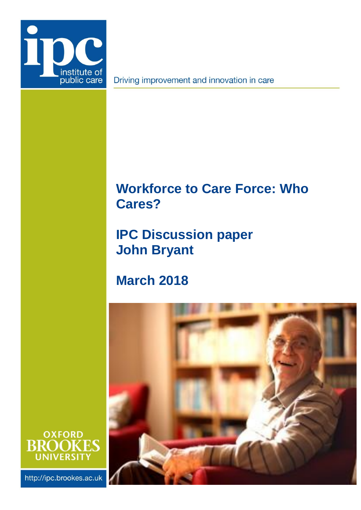

Driving improvement and innovation in care

# <span id="page-0-0"></span>**Workforce to Care Force: Who Cares?**

# **IPC Discussion paper John Bryant**

**March 2018**

<span id="page-0-1"></span>



http://ipc.brookes.ac.uk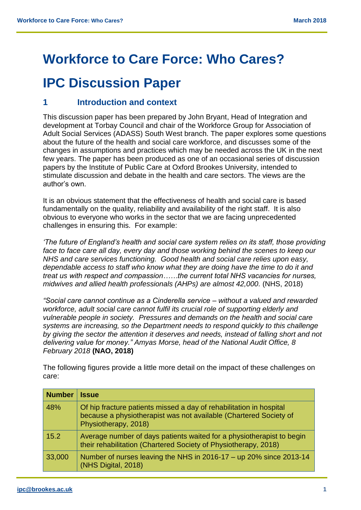## **[Workforce to Care Force: Who Cares?](#page-0-0)**

# **IPC Discussion Paper**

## **1 Introduction and context**

This discussion paper has been prepared by John Bryant, Head of Integration and development at Torbay Council and chair of the Workforce Group for Association of Adult Social Services (ADASS) South West branch. The paper explores some questions about the future of the health and social care workforce, and discusses some of the changes in assumptions and practices which may be needed across the UK in the next few years. The paper has been produced as one of an occasional series of discussion papers by the Institute of Public Care at Oxford Brookes University, intended to stimulate discussion and debate in the health and care sectors. The views are the author's own.

It is an obvious statement that the effectiveness of health and social care is based fundamentally on the quality, reliability and availability of the right staff. It is also obvious to everyone who works in the sector that we are facing unprecedented challenges in ensuring this. For example:

*'The future of England's health and social care system relies on its staff, those providing face to face care all day, every day and those working behind the scenes to keep our NHS and care services functioning. Good health and social care relies upon easy, dependable access to staff who know what they are doing have the time to do it and treat us with respect and compassion……the current total NHS vacancies for nurses, midwives and allied health professionals (AHPs) are almost 42,000.* (NHS, 2018)

*"Social care cannot continue as a Cinderella service – without a valued and rewarded workforce, adult social care cannot fulfil its crucial role of supporting elderly and vulnerable people in society. Pressures and demands on the health and social care systems are increasing, so the Department needs to respond quickly to this challenge by giving the sector the attention it deserves and needs, instead of falling short and not delivering value for money." Amyas Morse, head of the National Audit Office, 8 February 2018* **(NAO, 2018)**

| <b>Number</b> | <b>Issue</b>                                                                                                                                                     |
|---------------|------------------------------------------------------------------------------------------------------------------------------------------------------------------|
| 48%           | Of hip fracture patients missed a day of rehabilitation in hospital<br>because a physiotherapist was not available (Chartered Society of<br>Physiotherapy, 2018) |
| 15.2          | Average number of days patients waited for a physiotherapist to begin<br>their rehabilitation (Chartered Society of Physiotherapy, 2018)                         |
| 33,000        | Number of nurses leaving the NHS in 2016-17 - up 20% since 2013-14<br>(NHS Digital, 2018)                                                                        |

The following figures provide a little more detail on the impact of these challenges on care: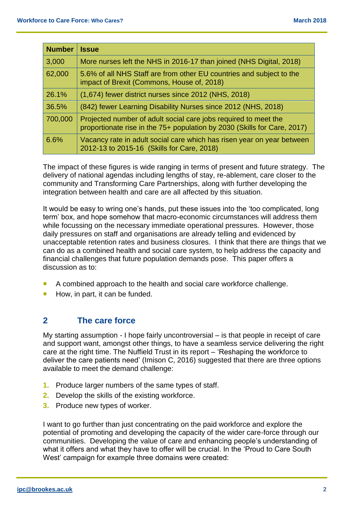| <b>Number</b> | <b>Issue</b>                                                                                                                                |
|---------------|---------------------------------------------------------------------------------------------------------------------------------------------|
| 3,000         | More nurses left the NHS in 2016-17 than joined (NHS Digital, 2018)                                                                         |
| 62,000        | 5.6% of all NHS Staff are from other EU countries and subject to the<br>impact of Brexit (Commons, House of, 2018)                          |
| 26.1%         | (1,674) fewer district nurses since 2012 (NHS, 2018)                                                                                        |
| 36.5%         | (842) fewer Learning Disability Nurses since 2012 (NHS, 2018)                                                                               |
| 700,000       | Projected number of adult social care jobs required to meet the<br>proportionate rise in the 75+ population by 2030 (Skills for Care, 2017) |
| 6.6%          | Vacancy rate in adult social care which has risen year on year between<br>2012-13 to 2015-16 (Skills for Care, 2018)                        |

The impact of these figures is wide ranging in terms of present and future strategy. The delivery of national agendas including lengths of stay, re-ablement, care closer to the community and Transforming Care Partnerships, along with further developing the integration between health and care are all affected by this situation.

It would be easy to wring one's hands, put these issues into the 'too complicated, long term' box, and hope somehow that macro-economic circumstances will address them while focussing on the necessary immediate operational pressures. However, those daily pressures on staff and organisations are already telling and evidenced by unacceptable retention rates and business closures. I think that there are things that we can do as a combined health and social care system, to help address the capacity and financial challenges that future population demands pose. This paper offers a discussion as to:

- A combined approach to the health and social care workforce challenge.
- $\blacksquare$  How, in part, it can be funded.

### **2 The care force**

My starting assumption - I hope fairly uncontroversial – is that people in receipt of care and support want, amongst other things, to have a seamless service delivering the right care at the right time. The Nuffield Trust in its report – 'Reshaping the workforce to deliver the care patients need' (Imison C, 2016) suggested that there are three options available to meet the demand challenge:

- **1.** Produce larger numbers of the same types of staff.
- **2.** Develop the skills of the existing workforce.
- **3.** Produce new types of worker.

I want to go further than just concentrating on the paid workforce and explore the potential of promoting and developing the capacity of the wider care-force through our communities. Developing the value of care and enhancing people's understanding of what it offers and what they have to offer will be crucial. In the 'Proud to Care South West' campaign for example three domains were created: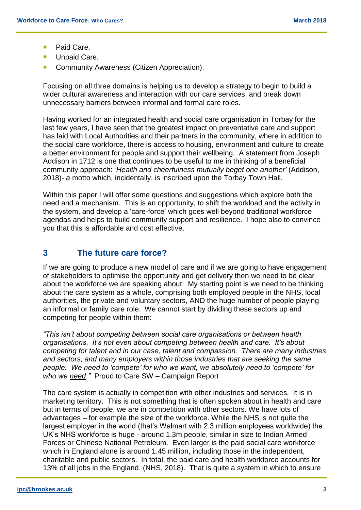- **Paid Care.**
- **Unpaid Care.**
- **Community Awareness (Citizen Appreciation).**

Focusing on all three domains is helping us to develop a strategy to begin to build a wider cultural awareness and interaction with our care services, and break down unnecessary barriers between informal and formal care roles.

Having worked for an integrated health and social care organisation in Torbay for the last few years, I have seen that the greatest impact on preventative care and support has laid with Local Authorities and their partners in the community, where in addition to the social care workforce, there is access to housing, environment and culture to create a better environment for people and support their wellbeing. A statement from Joseph Addison in 1712 is one that continues to be useful to me in thinking of a beneficial community approach: *'Health and cheerfulness mutually beget one another'* (Addison, 2018)*- a* motto which, incidentally, is inscribed upon the Torbay Town Hall.

Within this paper I will offer some questions and suggestions which explore both the need and a mechanism. This is an opportunity, to shift the workload and the activity in the system, and develop a 'care-force' which goes well beyond traditional workforce agendas and helps to build community support and resilience. I hope also to convince you that this is affordable and cost effective.

### **3 The future care force?**

If we are going to produce a new model of care and if we are going to have engagement of stakeholders to optimise the opportunity and get delivery then we need to be clear about the workforce we are speaking about. My starting point is we need to be thinking about the care system as a whole, comprising both employed people in the NHS, local authorities, the private and voluntary sectors, AND the huge number of people playing an informal or family care role. We cannot start by dividing these sectors up and competing for people within them:

*"This isn't about competing between social care organisations or between health organisations. It's not even about competing between health and care. It's about competing for talent and in our case, talent and compassion. There are many industries and sectors, and many employers within those industries that are seeking the same people. We need to 'compete' for who we want, we absolutely need to 'compete' for who we need."*Proud to Care SW – Campaign Report

The care system is actually in competition with other industries and services. It is in marketing territory. This is not something that is often spoken about in health and care but in terms of people, we are in competition with other sectors. We have lots of advantages – for example the size of the workforce. While the NHS is not quite the largest employer in the world (that's Walmart with 2.3 million employees worldwide) the UK's NHS workforce is huge - around 1.3m people, similar in size to Indian Armed Forces or Chinese National Petroleum. Even larger is the paid social care workforce which in England alone is around 1.45 million, including those in the independent, charitable and public sectors. In total, the paid care and health workforce accounts for 13% of all jobs in the England. (NHS, 2018). That is quite a system in which to ensure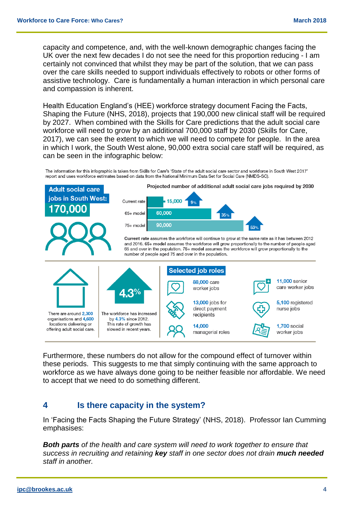capacity and competence, and, with the well-known demographic changes facing the UK over the next few decades I do not see the need for this proportion reducing - I am certainly not convinced that whilst they may be part of the solution, that we can pass over the care skills needed to support individuals effectively to robots or other forms of assistive technology. Care is fundamentally a human interaction in which personal care and compassion is inherent.

Health Education England's (HEE) workforce strategy document Facing the Facts, Shaping the Future (NHS, 2018), projects that 190,000 new clinical staff will be required by 2027. When combined with the Skills for Care predictions that the adult social care workforce will need to grow by an additional 700,000 staff by 2030 (Skills for Care, 2017), we can see the extent to which we will need to compete for people. In the area in which I work, the South West alone, 90,000 extra social care staff will be required, as can be seen in the infographic below:

The information for this infographic is taken from Skills for Care's 'State of the adult social care sector and workforce in South West 2017' report and uses workforce estimates based on data from the National Minimum Data Set for Social Care (NMDS-SC).

Projected number of additional adult social care jobs required by 2030 **Adult social care** jobs in South West: Current rate 15,000 170.000 60,000  $65+$  mode  $35%$ 90.000 75+ model 530 Current rate assumes the workforce will continue to grow at the same rate as it has between 2012 and 2016. 65+ model assumes the workforce will grow proportionally to the number of people aged 65 and over in the population. 75+ model assumes the workforce will grow proportionally to the number of people aged 75 and over in the population. **Selected job roles 11.000 senior** 88,000 care care worker jobs worker jobs 13,000 jobs for 5,100 registered direct payment nurse jobs There are around 2.300 The workforce has increased recipients organisations and 4,600 by 4.3% since 2012. locations delivering or This rate of growth has 14,000 **1,700 social** offering adult social care. slowed in recent years. managerial roles worker jobs

Furthermore, these numbers do not allow for the compound effect of turnover within these periods. This suggests to me that simply continuing with the same approach to workforce as we have always done going to be neither feasible nor affordable. We need to accept that we need to do something different.

### **4 Is there capacity in the system?**

In 'Facing the Facts Shaping the Future Strategy' (NHS, 2018). Professor Ian Cumming emphasises:

*Both parts of the health and care system will need to work together to ensure that success in recruiting and retaining key staff in one sector does not drain much needed staff in another.*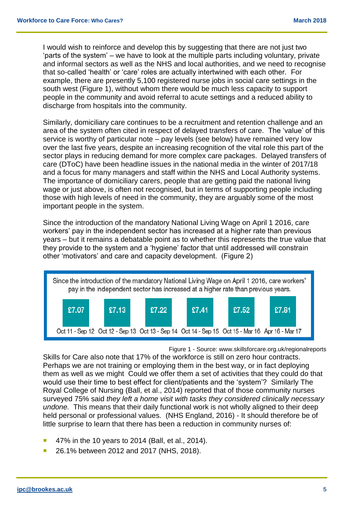I would wish to reinforce and develop this by suggesting that there are not just two 'parts of the system' – we have to look at the multiple parts including voluntary, private and informal sectors as well as the NHS and local authorities, and we need to recognise that so-called 'health' or 'care' roles are actually intertwined with each other. For example, there are presently 5,100 registered nurse jobs in social care settings in the south west (Figure 1), without whom there would be much less capacity to support people in the community and avoid referral to acute settings and a reduced ability to discharge from hospitals into the community.

Similarly, domiciliary care continues to be a recruitment and retention challenge and an area of the system often cited in respect of delayed transfers of care. The 'value' of this service is worthy of particular note – pay levels (see below) have remained very low over the last five years, despite an increasing recognition of the vital role this part of the sector plays in reducing demand for more complex care packages. Delayed transfers of care (DToC) have been headline issues in the national media in the winter of 2017/18 and a focus for many managers and staff within the NHS and Local Authority systems. The importance of domiciliary carers, people that are getting paid the national living wage or just above, is often not recognised, but in terms of supporting people including those with high levels of need in the community, they are arguably some of the most important people in the system.

Since the introduction of the mandatory National Living Wage on April 1 2016, care workers' pay in the independent sector has increased at a higher rate than previous years – but it remains a debatable point as to whether this represents the true value that they provide to the system and a 'hygiene' factor that until addressed will constrain other 'motivators' and care and capacity development. (Figure 2)



Figure 1 - Source: www.skillsforcare.org.uk/regionalreports

Skills for Care also note that 17% of the workforce is still on zero hour contracts. Perhaps we are not training or employing them in the best way, or in fact deploying them as well as we might Could we offer them a set of activities that they could do that would use their time to best effect for client/patients and the 'system'? Similarly The Royal College of Nursing (Ball, et al., 2014) reported that of those community nurses surveyed 75% said *they left a home visit with tasks they considered clinically necessary undone.* This means that their daily functional work is not wholly aligned to their deep held personal or professional values. (NHS England, 2016) - It should therefore be of little surprise to learn that there has been a reduction in community nurses of:

- $\blacksquare$  47% in the 10 years to 2014 (Ball, et al., 2014).
- 26.1% between 2012 and 2017 (NHS, 2018).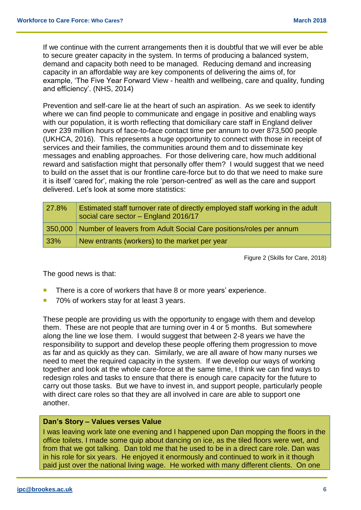If we continue with the current arrangements then it is doubtful that we will ever be able to secure greater capacity in the system. In terms of producing a balanced system, demand and capacity both need to be managed. Reducing demand and increasing capacity in an affordable way are key components of delivering the aims of, for example, 'The Five Year Forward View - health and wellbeing, care and quality, funding and efficiency'. (NHS, 2014)

Prevention and self-care lie at the heart of such an aspiration. As we seek to identify where we can find people to communicate and engage in positive and enabling ways with our population, it is worth reflecting that domiciliary care staff in England deliver over 239 million hours of face-to-face contact time per annum to over 873,500 people (UKHCA, 2016). This represents a huge opportunity to connect with those in receipt of services and their families, the communities around them and to disseminate key messages and enabling approaches. For those delivering care, how much additional reward and satisfaction might that personally offer them? I would suggest that we need to build on the asset that is our frontline care-force but to do that we need to make sure it is itself 'cared for', making the role 'person-centred' as well as the care and support delivered. Let's look at some more statistics:

| 27.8% | Estimated staff turnover rate of directly employed staff working in the adult<br>social care sector - England 2016/17 |
|-------|-----------------------------------------------------------------------------------------------------------------------|
|       | 350,000 Number of leavers from Adult Social Care positions/roles per annum                                            |
| 33%   | New entrants (workers) to the market per year                                                                         |

Figure 2 (Skills for Care, 2018)

The good news is that:

- There is a core of workers that have 8 or more years' experience.
- 70% of workers stay for at least 3 years.

These people are providing us with the opportunity to engage with them and develop them. These are not people that are turning over in 4 or 5 months. But somewhere along the line we lose them. I would suggest that between 2-8 years we have the responsibility to support and develop these people offering them progression to move as far and as quickly as they can. Similarly, we are all aware of how many nurses we need to meet the required capacity in the system. If we develop our ways of working together and look at the whole care-force at the same time, I think we can find ways to redesign roles and tasks to ensure that there is enough care capacity for the future to carry out those tasks. But we have to invest in, and support people, particularly people with direct care roles so that they are all involved in care are able to support one another.

#### **Dan's Story – Values verses Value**

I was leaving work late one evening and I happened upon Dan mopping the floors in the office toilets. I made some quip about dancing on ice, as the tiled floors were wet, and from that we got talking. Dan told me that he used to be in a direct care role. Dan was in his role for six years. He enjoyed it enormously and continued to work in it though paid just over the national living wage. He worked with many different clients. On one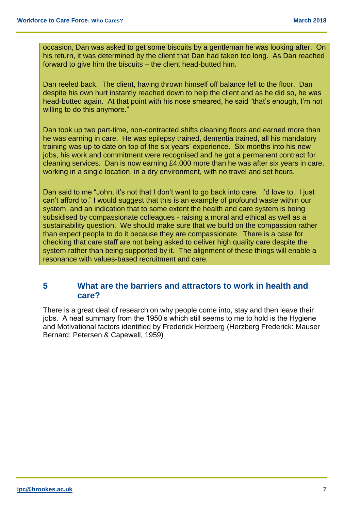occasion, Dan was asked to get some biscuits by a gentleman he was looking after. On his return, it was determined by the client that Dan had taken too long. As Dan reached forward to give him the biscuits – the client head-butted him.

Dan reeled back. The client, having thrown himself off balance fell to the floor. Dan despite his own hurt instantly reached down to help the client and as he did so, he was head-butted again. At that point with his nose smeared, he said "that's enough, I'm not willing to do this anymore."

Dan took up two part-time, non-contracted shifts cleaning floors and earned more than he was earning in care. He was epilepsy trained, dementia trained, all his mandatory training was up to date on top of the six years' experience. Six months into his new jobs, his work and commitment were recognised and he got a permanent contract for cleaning services. Dan is now earning £4,000 more than he was after six years in care, working in a single location, in a dry environment, with no travel and set hours.

Dan said to me "John, it's not that I don't want to go back into care. I'd love to. I just can't afford to." I would suggest that this is an example of profound waste within our system, and an indication that to some extent the health and care system is being subsidised by compassionate colleagues - raising a moral and ethical as well as a sustainability question. We should make sure that we build on the compassion rather than expect people to do it because they are compassionate. There is a case for checking that care staff are not being asked to deliver high quality care despite the system rather than being supported by it. The alignment of these things will enable a resonance with values-based recruitment and care.

#### **5 What are the barriers and attractors to work in health and care?**

There is a great deal of research on why people come into, stay and then leave their jobs. A neat summary from the 1950's which still seems to me to hold is the Hygiene and Motivational factors identified by Frederick Herzberg (Herzberg Frederick: Mauser Bernard: Petersen & Capewell, 1959)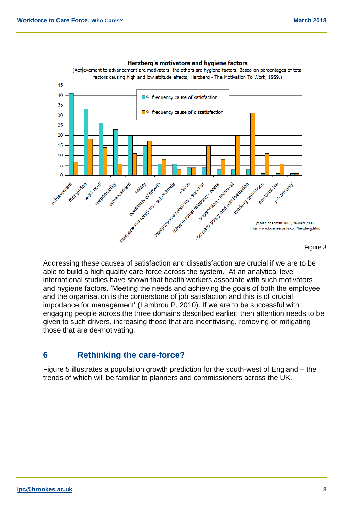

#### Herzberg's motivators and hygiene factors

(Achievement to advancement are motivators; the others are hygiene factors. Based on percentages of total factors causing high and low attitude effects; Herzberg - The Motivation To Work, 1959.)

Addressing these causes of satisfaction and dissatisfaction are crucial if we are to be able to build a high quality care-force across the system. At an analytical level international studies have shown that health workers associate with such motivators and hygiene factors. 'Meeting the needs and achieving the goals of both the employee and the organisation is the cornerstone of job satisfaction and this is of crucial importance for management' (Lambrou P, 2010). If we are to be successful with engaging people across the three domains described earlier, then attention needs to be given to such drivers, increasing those that are incentivising, removing or mitigating those that are de-motivating.

### **6 Rethinking the care-force?**

Figure 5 illustrates a population growth prediction for the south-west of England – the trends of which will be familiar to planners and commissioners across the UK.

Figure 3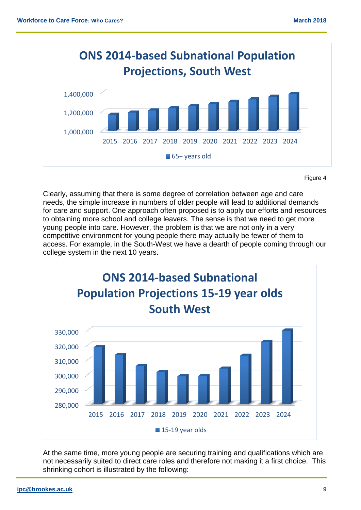

Figure 4

Clearly, assuming that there is some degree of correlation between age and care needs, the simple increase in numbers of older people will lead to additional demands for care and support. One approach often proposed is to apply our efforts and resources to obtaining more school and college leavers. The sense is that we need to get more young people into care. However, the problem is that we are not only in a very competitive environment for young people there may actually be fewer of them to access. For example, in the South-West we have a dearth of people coming through our college system in the next 10 years.



At the same time, more young people are securing training and qualifications which are not necessarily suited to direct care roles and therefore not making it a first choice. This shrinking cohort is illustrated by the following: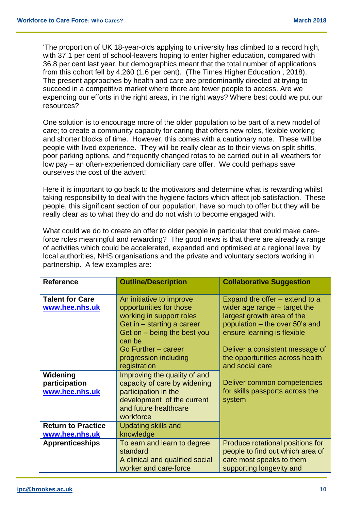'The proportion of UK 18-year-olds applying to university has climbed to a record high, with 37.1 per cent of school-leavers hoping to enter higher education, compared with 36.8 per cent last year, but demographics meant that the total number of applications from this cohort fell by 4,260 (1.6 per cent). (The Times Higher Education , 2018). The present approaches by health and care are predominantly directed at trying to succeed in a competitive market where there are fewer people to access. Are we expending our efforts in the right areas, in the right ways? Where best could we put our resources?

One solution is to encourage more of the older population to be part of a new model of care; to create a community capacity for caring that offers new roles, flexible working and shorter blocks of time. However, this comes with a cautionary note. These will be people with lived experience. They will be really clear as to their views on split shifts, poor parking options, and frequently changed rotas to be carried out in all weathers for low pay – an often-experienced domiciliary care offer. We could perhaps save ourselves the cost of the advert!

Here it is important to go back to the motivators and determine what is rewarding whilst taking responsibility to deal with the hygiene factors which affect job satisfaction. These people, this significant section of our population, have so much to offer but they will be really clear as to what they do and do not wish to become engaged with.

What could we do to create an offer to older people in particular that could make careforce roles meaningful and rewarding? The good news is that there are already a range of activities which could be accelerated, expanded and optimised at a regional level by local authorities, NHS organisations and the private and voluntary sectors working in partnership. A few examples are:

| <b>Reference</b>                                                         | <b>Outline/Description</b>                                                                                                                                                                             | <b>Collaborative Suggestion</b>                                                                                                                                                                                                       |
|--------------------------------------------------------------------------|--------------------------------------------------------------------------------------------------------------------------------------------------------------------------------------------------------|---------------------------------------------------------------------------------------------------------------------------------------------------------------------------------------------------------------------------------------|
| <b>Talent for Care</b><br>www.hee.nhs.uk                                 | An initiative to improve<br>opportunities for those<br>working in support roles<br>Get in – starting a career<br>Get on – being the best you<br>can be<br>Go Further - career<br>progression including | Expand the offer – extend to a<br>wider age range $-$ target the<br>largest growth area of the<br>population - the over 50's and<br>ensure learning is flexible<br>Deliver a consistent message of<br>the opportunities across health |
| Widening<br>participation<br>www.hee.nhs.uk<br><b>Return to Practice</b> | registration<br>Improving the quality of and<br>capacity of care by widening<br>participation in the<br>development of the current<br>and future healthcare<br>workforce<br><b>Updating skills and</b> | and social care<br>Deliver common competencies<br>for skills passports across the<br>system                                                                                                                                           |
| www.hee.nhs.uk<br><b>Apprenticeships</b>                                 | knowledge<br>To earn and learn to degree<br>standard<br>A clinical and qualified social<br>worker and care-force                                                                                       | Produce rotational positions for<br>people to find out which area of<br>care most speaks to them<br>supporting longevity and                                                                                                          |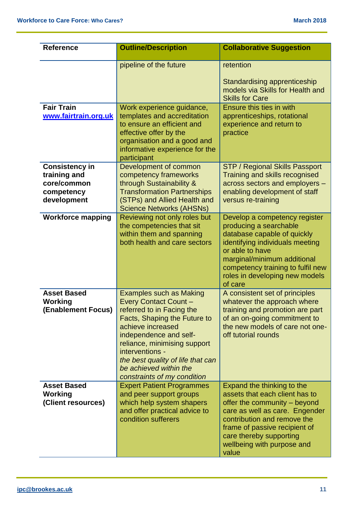| <b>Reference</b>                                                                  | <b>Outline/Description</b>                                                                                                                                                                                                                                                                                                 | <b>Collaborative Suggestion</b>                                                                                                                                                                                                                                  |  |
|-----------------------------------------------------------------------------------|----------------------------------------------------------------------------------------------------------------------------------------------------------------------------------------------------------------------------------------------------------------------------------------------------------------------------|------------------------------------------------------------------------------------------------------------------------------------------------------------------------------------------------------------------------------------------------------------------|--|
|                                                                                   | pipeline of the future                                                                                                                                                                                                                                                                                                     | retention<br>Standardising apprenticeship<br>models via Skills for Health and<br><b>Skills for Care</b>                                                                                                                                                          |  |
| <b>Fair Train</b><br>www.fairtrain.org.uk                                         | Work experience guidance,<br>templates and accreditation<br>to ensure an efficient and<br>effective offer by the<br>organisation and a good and<br>informative experience for the<br>participant                                                                                                                           | Ensure this ties in with<br>apprenticeships, rotational<br>experience and return to<br>practice                                                                                                                                                                  |  |
| <b>Consistency in</b><br>training and<br>core/common<br>competency<br>development | Development of common<br>competency frameworks<br>through Sustainability &<br><b>Transformation Partnerships</b><br>(STPs) and Allied Health and<br><b>Science Networks (AHSNs)</b>                                                                                                                                        | <b>STP / Regional Skills Passport</b><br>Training and skills recognised<br>across sectors and employers -<br>enabling development of staff<br>versus re-training                                                                                                 |  |
| <b>Workforce mapping</b>                                                          | Reviewing not only roles but<br>the competencies that sit<br>within them and spanning<br>both health and care sectors                                                                                                                                                                                                      | Develop a competency register<br>producing a searchable<br>database capable of quickly<br>identifying individuals meeting<br>or able to have<br>marginal/minimum additional<br>competency training to fulfil new<br>roles in developing new models<br>of care    |  |
| <b>Asset Based</b><br><b>Working</b><br>(Enablement Focus)                        | <b>Examples such as Making</b><br><b>Every Contact Count-</b><br>referred to in Facing the<br>Facts, Shaping the Future to<br>achieve increased<br>independence and self-<br>reliance, minimising support<br>interventions -<br>the best quality of life that can<br>be achieved within the<br>constraints of my condition | A consistent set of principles<br>whatever the approach where<br>training and promotion are part<br>of an on-going commitment to<br>the new models of care not one-<br>off tutorial rounds                                                                       |  |
| <b>Asset Based</b><br>Working<br>(Client resources)                               | <b>Expert Patient Programmes</b><br>and peer support groups<br>which help system shapers<br>and offer practical advice to<br>condition sufferers                                                                                                                                                                           | Expand the thinking to the<br>assets that each client has to<br>offer the community – beyond<br>care as well as care. Engender<br>contribution and remove the<br>frame of passive recipient of<br>care thereby supporting<br>wellbeing with purpose and<br>value |  |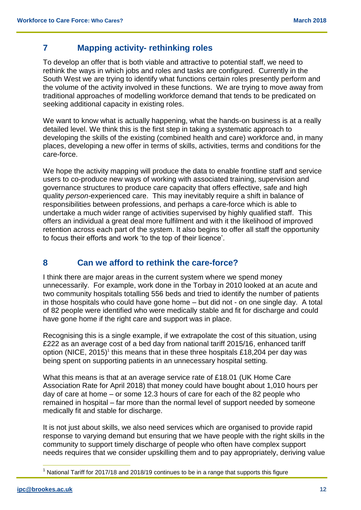### **7 Mapping activity- rethinking roles**

To develop an offer that is both viable and attractive to potential staff, we need to rethink the ways in which jobs and roles and tasks are configured. Currently in the South West we are trying to identify what functions certain roles presently perform and the volume of the activity involved in these functions. We are trying to move away from traditional approaches of modelling workforce demand that tends to be predicated on seeking additional capacity in existing roles.

We want to know what is actually happening, what the hands-on business is at a really detailed level. We think this is the first step in taking a systematic approach to developing the skills of the existing (combined health and care) workforce and, in many places, developing a new offer in terms of skills, activities, terms and conditions for the care-force.

We hope the activity mapping will produce the data to enable frontline staff and service users to co-produce new ways of working with associated training, supervision and governance structures to produce care capacity that offers effective, safe and high quality *person-*experienced care. This may inevitably require a shift in balance of responsibilities between professions, and perhaps a care-force which is able to undertake a much wider range of activities supervised by highly qualified staff. This offers an individual a great deal more fulfilment and with it the likelihood of improved retention across each part of the system. It also begins to offer all staff the opportunity to focus their efforts and work 'to the top of their licence'.

### **8 Can we afford to rethink the care-force?**

I think there are major areas in the current system where we spend money unnecessarily. For example, work done in the Torbay in 2010 looked at an acute and two community hospitals totalling 556 beds and tried to identify the number of patients in those hospitals who could have gone home – but did not - on one single day. A total of 82 people were identified who were medically stable and fit for discharge and could have gone home if the right care and support was in place.

Recognising this is a single example, if we extrapolate the cost of this situation, using £222 as an average cost of a bed day from national tariff 2015/16, enhanced tariff option (NICE, 2015)<sup>1</sup> this means that in these three hospitals £18,204 per day was being spent on supporting patients in an unnecessary hospital setting.

What this means is that at an average service rate of £18.01 (UK Home Care Association Rate for April 2018) that money could have bought about 1,010 hours per day of care at home – or some 12.3 hours of care for each of the 82 people who remained in hospital – far more than the normal level of support needed by someone medically fit and stable for discharge.

It is not just about skills, we also need services which are organised to provide rapid response to varying demand but ensuring that we have people with the right skills in the community to support timely discharge of people who often have complex support needs requires that we consider upskilling them and to pay appropriately, deriving value

 $\overline{\phantom{a}}$ <sup>1</sup> National Tariff for 2017/18 and 2018/19 continues to be in a range that supports this figure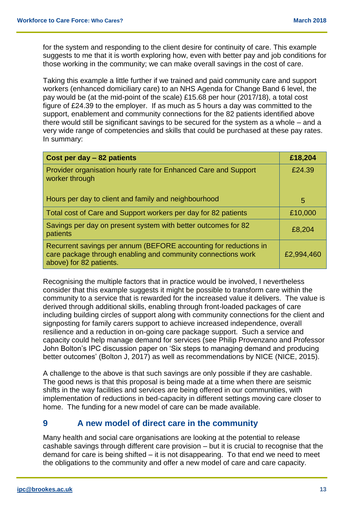for the system and responding to the client desire for continuity of care. This example suggests to me that it is worth exploring how, even with better pay and job conditions for those working in the community; we can make overall savings in the cost of care.

Taking this example a little further if we trained and paid community care and support workers (enhanced domiciliary care) to an NHS Agenda for Change Band 6 level, the pay would be (at the mid-point of the scale) £15.68 per hour (2017/18), a total cost figure of £24.39 to the employer. If as much as 5 hours a day was committed to the support, enablement and community connections for the 82 patients identified above there would still be significant savings to be secured for the system as a whole – and a very wide range of competencies and skills that could be purchased at these pay rates. In summary:

| Cost per day - 82 patients                                                                                                                                  | £18,204    |
|-------------------------------------------------------------------------------------------------------------------------------------------------------------|------------|
| Provider organisation hourly rate for Enhanced Care and Support<br>worker through                                                                           | £24.39     |
| Hours per day to client and family and neighbourhood                                                                                                        | 5          |
| Total cost of Care and Support workers per day for 82 patients                                                                                              | £10,000    |
| Savings per day on present system with better outcomes for 82<br>patients                                                                                   | £8,204     |
| Recurrent savings per annum (BEFORE accounting for reductions in<br>care package through enabling and community connections work<br>above) for 82 patients. | £2,994,460 |

Recognising the multiple factors that in practice would be involved, I nevertheless consider that this example suggests it might be possible to transform care within the community to a service that is rewarded for the increased value it delivers. The value is derived through additional skills, enabling through front-loaded packages of care including building circles of support along with community connections for the client and signposting for family carers support to achieve increased independence, overall resilience and a reduction in on-going care package support. Such a service and capacity could help manage demand for services (see Philip Provenzano and Professor John Bolton's IPC discussion paper on 'Six steps to managing demand and producing better outcomes' (Bolton J, 2017) as well as recommendations by NICE (NICE, 2015).

A challenge to the above is that such savings are only possible if they are cashable. The good news is that this proposal is being made at a time when there are seismic shifts in the way facilities and services are being offered in our communities, with implementation of reductions in bed-capacity in different settings moving care closer to home. The funding for a new model of care can be made available.

### **9 A new model of direct care in the community**

Many health and social care organisations are looking at the potential to release cashable savings through different care provision – but it is crucial to recognise that the demand for care is being shifted – it is not disappearing. To that end we need to meet the obligations to the community and offer a new model of care and care capacity.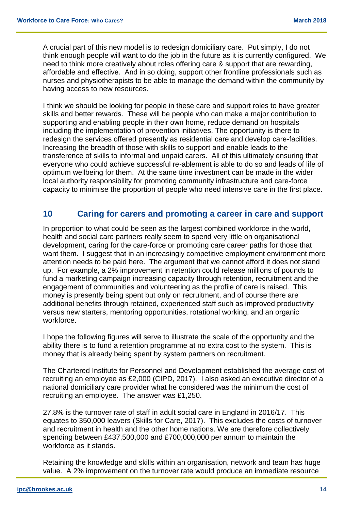A crucial part of this new model is to redesign domiciliary care. Put simply, I do not think enough people will want to do the job in the future as it is currently configured. We need to think more creatively about roles offering care & support that are rewarding, affordable and effective. And in so doing, support other frontline professionals such as nurses and physiotherapists to be able to manage the demand within the community by having access to new resources.

I think we should be looking for people in these care and support roles to have greater skills and better rewards. These will be people who can make a major contribution to supporting and enabling people in their own home, reduce demand on hospitals including the implementation of prevention initiatives. The opportunity is there to redesign the services offered presently as residential care and develop care-facilities. Increasing the breadth of those with skills to support and enable leads to the transference of skills to informal and unpaid carers. All of this ultimately ensuring that everyone who could achieve successful re-ablement is able to do so and leads of life of optimum wellbeing for them. At the same time investment can be made in the wider local authority responsibility for promoting community infrastructure and care-force capacity to minimise the proportion of people who need intensive care in the first place.

### **10 Caring for carers and promoting a career in care and support**

In proportion to what could be seen as the largest combined workforce in the world, health and social care partners really seem to spend very little on organisational development, caring for the care-force or promoting care career paths for those that want them. I suggest that in an increasingly competitive employment environment more attention needs to be paid here. The argument that we cannot afford it does not stand up. For example, a 2% improvement in retention could release millions of pounds to fund a marketing campaign increasing capacity through retention, recruitment and the engagement of communities and volunteering as the profile of care is raised. This money is presently being spent but only on recruitment, and of course there are additional benefits through retained, experienced staff such as improved productivity versus new starters, mentoring opportunities, rotational working, and an organic workforce.

I hope the following figures will serve to illustrate the scale of the opportunity and the ability there is to fund a retention programme at no extra cost to the system. This is money that is already being spent by system partners on recruitment.

The Chartered Institute for Personnel and Development established the average cost of recruiting an employee as £2,000 (CIPD, 2017). I also asked an executive director of a national domiciliary care provider what he considered was the minimum the cost of recruiting an employee. The answer was £1,250.

27.8% is the turnover rate of staff in adult social care in England in 2016/17. This equates to 350,000 leavers (Skills for Care, 2017). This excludes the costs of turnover and recruitment in health and the other home nations. We are therefore collectively spending between £437,500,000 and £700,000,000 per annum to maintain the workforce as it stands.

Retaining the knowledge and skills within an organisation, network and team has huge value. A 2% improvement on the turnover rate would produce an immediate resource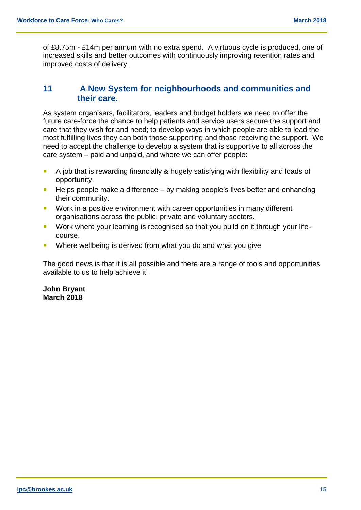of £8.75m - £14m per annum with no extra spend. A virtuous cycle is produced, one of increased skills and better outcomes with continuously improving retention rates and improved costs of delivery.

#### **11 A New System for neighbourhoods and communities and their care.**

As system organisers, facilitators, leaders and budget holders we need to offer the future care-force the chance to help patients and service users secure the support and care that they wish for and need; to develop ways in which people are able to lead the most fulfilling lives they can both those supporting and those receiving the support. We need to accept the challenge to develop a system that is supportive to all across the care system – paid and unpaid, and where we can offer people:

- A job that is rewarding financially & hugely satisfying with flexibility and loads of opportunity.
- $\blacksquare$  Helps people make a difference by making people's lives better and enhancing their community.
- **Work in a positive environment with career opportunities in many different** organisations across the public, private and voluntary sectors.
- **Work where your learning is recognised so that you build on it through your life**course.
- Where wellbeing is derived from what you do and what you give

The good news is that it is all possible and there are a range of tools and opportunities available to us to help achieve it.

**John Bryant March 2018**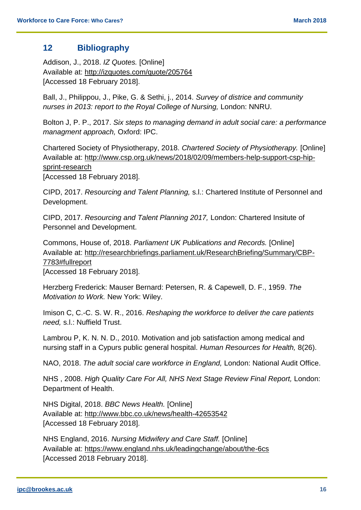#### **12 Bibliography**

Addison, J., 2018. *IZ Quotes.* [Online] Available at: http://izquotes.com/quote/205764 [Accessed 18 February 2018].

Ball, J., Philippou, J., Pike, G. & Sethi, j., 2014. *Survey of districe and community nurses in 2013: report to the Royal College of Nursing,* London: NNRU.

Bolton J, P. P., 2017. *Six steps to managing demand in adult social care: a performance managment approach,* Oxford: IPC.

Chartered Society of Physiotherapy, 2018. *Chartered Society of Physiotherapy.* [Online] Available at: http://www.csp.org.uk/news/2018/02/09/members-help-support-csp-hipsprint-research

[Accessed 18 February 2018].

CIPD, 2017. *Resourcing and Talent Planning,* s.l.: Chartered Institute of Personnel and Development.

CIPD, 2017. *Resourcing and Talent Planning 2017,* London: Chartered Insitute of Personnel and Development.

Commons, House of, 2018. *Parliament UK Publications and Records.* [Online] Available at: http://researchbriefings.parliament.uk/ResearchBriefing/Summary/CBP-7783#fullreport

[Accessed 18 February 2018].

Herzberg Frederick: Mauser Bernard: Petersen, R. & Capewell, D. F., 1959. *The Motivation to Work.* New York: Wiley.

Imison C, C.-C. S. W. R., 2016. *Reshaping the workforce to deliver the care patients need,* s.l.: Nuffield Trust.

Lambrou P, K. N. N. D., 2010. Motivation and job satisfaction among medical and nursing staff in a Cypurs public general hospital. *Human Resources for Health,* 8(26).

NAO, 2018. *The adult social care workforce in England,* London: National Audit Office.

NHS , 2008. *High Quality Care For All, NHS Next Stage Review Final Report,* London: Department of Health.

NHS Digital, 2018. *BBC News Health.* [Online] Available at: http://www.bbc.co.uk/news/health-42653542 [Accessed 18 February 2018].

NHS England, 2016. *Nursing Midwifery and Care Staff.* [Online] Available at: https://www.england.nhs.uk/leadingchange/about/the-6cs [Accessed 2018 February 2018].